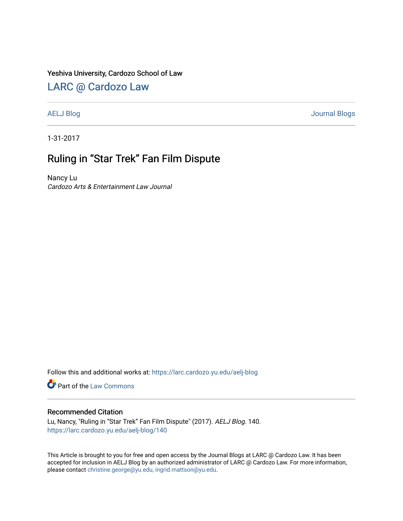### Yeshiva University, Cardozo School of Law

# [LARC @ Cardozo Law](https://larc.cardozo.yu.edu/)

[AELJ Blog](https://larc.cardozo.yu.edu/aelj-blog) [Journal Blogs](https://larc.cardozo.yu.edu/journal-blogs) 

1-31-2017

## Ruling in "Star Trek" Fan Film Dispute

Nancy Lu Cardozo Arts & Entertainment Law Journal

Follow this and additional works at: [https://larc.cardozo.yu.edu/aelj-blog](https://larc.cardozo.yu.edu/aelj-blog?utm_source=larc.cardozo.yu.edu%2Faelj-blog%2F140&utm_medium=PDF&utm_campaign=PDFCoverPages) 

Part of the [Law Commons](http://network.bepress.com/hgg/discipline/578?utm_source=larc.cardozo.yu.edu%2Faelj-blog%2F140&utm_medium=PDF&utm_campaign=PDFCoverPages)

#### Recommended Citation

Lu, Nancy, "Ruling in "Star Trek" Fan Film Dispute" (2017). AELJ Blog. 140. [https://larc.cardozo.yu.edu/aelj-blog/140](https://larc.cardozo.yu.edu/aelj-blog/140?utm_source=larc.cardozo.yu.edu%2Faelj-blog%2F140&utm_medium=PDF&utm_campaign=PDFCoverPages) 

This Article is brought to you for free and open access by the Journal Blogs at LARC @ Cardozo Law. It has been accepted for inclusion in AELJ Blog by an authorized administrator of LARC @ Cardozo Law. For more information, please contact [christine.george@yu.edu, ingrid.mattson@yu.edu.](mailto:christine.george@yu.edu,%20ingrid.mattson@yu.edu)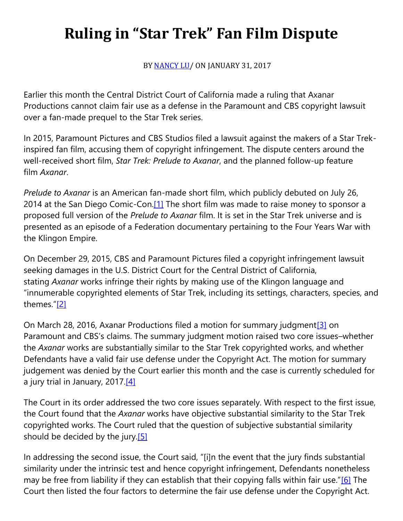# **Ruling in "Star Trek" Fan Film Dispute**

BY [NANCY LU/](https://cardozoaelj.com/author/nancy-lu/) ON JANUARY 31, 2017

Earlier this month the Central District Court of California made a ruling that Axanar Productions cannot claim fair use as a defense in the Paramount and CBS copyright lawsuit over a fan-made prequel to the Star Trek series.

In 2015, Paramount Pictures and CBS Studios filed a lawsuit against the makers of a Star Trekinspired fan film, accusing them of copyright infringement. The dispute centers around the well-received short film, *Star Trek: Prelude to Axanar*, and the planned follow-up feature film *Axanar*.

*Prelude to Axanar* is an American fan-made short film, which publicly debuted on July 26, 2014 at the San Diego Comic-Con.<sup>[1]</sup> The short film was made to raise money to sponsor a proposed full version of the *Prelude to Axanar* film. It is set in the Star Trek universe and is presented as an episode of a Federation documentary pertaining to the Four Years War with the Klingon Empire.

On December 29, 2015, CBS and Paramount Pictures filed a copyright infringement lawsuit seeking damages in the U.S. District Court for the Central District of California, stating *Axanar* works infringe their rights by making use of the Klingon language and "innumerable copyrighted elements of Star Trek, including its settings, characters, species, and themes."[\[2\]](https://cardozoaelj.com/2017/01/31/ruling-star-trek-fan-film-dispute/#_ftn2)

On March 28, 2016, Axanar Productions filed a motion for summary judgment<sup>[3]</sup> on Paramount and CBS's claims. The summary judgment motion raised two core issues–whether the *Axanar* works are substantially similar to the Star Trek copyrighted works, and whether Defendants have a valid fair use defense under the Copyright Act. The motion for summary judgement was denied by the Court earlier this month and the case is currently scheduled for a jury trial in January, 2017. $[4]$ 

The Court in its order addressed the two core issues separately. With respect to the first issue, the Court found that the *Axanar* works have objective substantial similarity to the Star Trek copyrighted works. The Court ruled that the question of subjective substantial similarity should be decided by the jury. $[5]$ 

In addressing the second issue, the Court said, "[i]n the event that the jury finds substantial similarity under the intrinsic test and hence copyright infringement, Defendants nonetheless may be free from liability if they can establish that their copying falls within fair use."[\[6\]](https://cardozoaelj.com/2017/01/31/ruling-star-trek-fan-film-dispute/#_ftn6) The Court then listed the four factors to determine the fair use defense under the Copyright Act.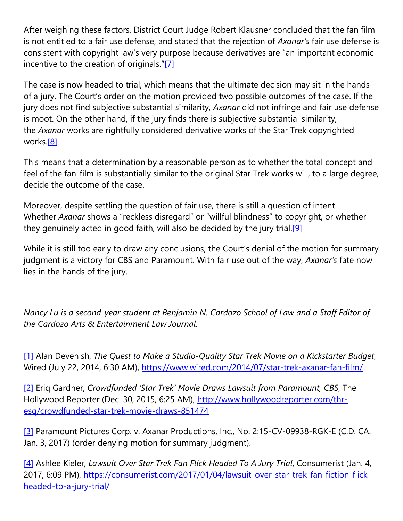After weighing these factors, District Court Judge Robert Klausner concluded that the fan film is not entitled to a fair use defense, and stated that the rejection of *Axanar's* fair use defense is consistent with copyright law's very purpose because derivatives are "an important economic incentive to the creation of originals."[\[7\]](https://cardozoaelj.com/2017/01/31/ruling-star-trek-fan-film-dispute/#_ftn7)

The case is now headed to trial, which means that the ultimate decision may sit in the hands of a jury. The Court's order on the motion provided two possible outcomes of the case. If the jury does not find subjective substantial similarity, *Axanar* did not infringe and fair use defense is moot. On the other hand, if the jury finds there is subjective substantial similarity, the *Axanar* works are rightfully considered derivative works of the Star Trek copyrighted works[.\[8\]](https://cardozoaelj.com/2017/01/31/ruling-star-trek-fan-film-dispute/#_ftn8)

This means that a determination by a reasonable person as to whether the total concept and feel of the fan-film is substantially similar to the original Star Trek works will, to a large degree, decide the outcome of the case.

Moreover, despite settling the question of fair use, there is still a question of intent. Whether *Axanar* shows a "reckless disregard" or "willful blindness" to copyright, or whether they genuinely acted in good faith, will also be decided by the jury trial[.\[9\]](https://cardozoaelj.com/2017/01/31/ruling-star-trek-fan-film-dispute/#_ftn9)

While it is still too early to draw any conclusions, the Court's denial of the motion for summary judgment is a victory for CBS and Paramount. With fair use out of the way, *Axanar's* fate now lies in the hands of the jury.

*Nancy Lu is a second-year student at Benjamin N. Cardozo School of Law and a Staff Editor of the Cardozo Arts & Entertainment Law Journal.*

[\[1\]](https://cardozoaelj.com/2017/01/31/ruling-star-trek-fan-film-dispute/#_ftnref1) Alan Devenish, *The Quest to Make a Studio-Quality Star Trek Movie on a Kickstarter Budget*, Wired (July 22, 2014, 6:30 AM), <https://www.wired.com/2014/07/star-trek-axanar-fan-film/>

[\[2\]](https://cardozoaelj.com/2017/01/31/ruling-star-trek-fan-film-dispute/#_ftnref2) Eriq Gardner, *Crowdfunded 'Star Trek' Movie Draws Lawsuit from Paramount, CBS*, The Hollywood Reporter (Dec. 30, 2015, 6:25 AM), [http://www.hollywoodreporter.com/thr](http://www.hollywoodreporter.com/thr-esq/crowdfunded-star-trek-movie-draws-851474)[esq/crowdfunded-star-trek-movie-draws-851474](http://www.hollywoodreporter.com/thr-esq/crowdfunded-star-trek-movie-draws-851474)

[\[3\]](https://cardozoaelj.com/2017/01/31/ruling-star-trek-fan-film-dispute/#_ftnref3) Paramount Pictures Corp. v. Axanar Productions, Inc., No. 2:15-CV-09938-RGK-E (C.D. CA. Jan. 3, 2017) (order denying motion for summary judgment).

[\[4\]](https://cardozoaelj.com/2017/01/31/ruling-star-trek-fan-film-dispute/#_ftnref4) Ashlee Kieler, *Lawsuit Over Star Trek Fan Flick Headed To A Jury Trial*, Consumerist (Jan. 4, 2017, 6:09 PM), [https://consumerist.com/2017/01/04/lawsuit-over-star-trek-fan-fiction-flick](https://consumerist.com/2017/01/04/lawsuit-over-star-trek-fan-fiction-flick-headed-to-a-jury-trial/)[headed-to-a-jury-trial/](https://consumerist.com/2017/01/04/lawsuit-over-star-trek-fan-fiction-flick-headed-to-a-jury-trial/)